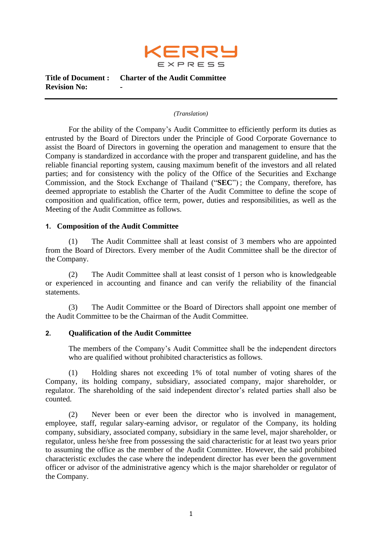

#### *(Translation)*

For the ability of the Company's Audit Committee to efficiently perform its duties as entrusted by the Board of Directors under the Principle of Good Corporate Governance to assist the Board of Directors in governing the operation and management to ensure that the Company is standardized in accordance with the proper and transparent guideline, and has the reliable financial reporting system, causing maximum benefit of the investors and all related parties; and for consistency with the policy of the Office of the Securities and Exchange Commission, and the Stock Exchange of Thailand ("**SEC**") ; the Company, therefore, has deemed appropriate to establish the Charter of the Audit Committee to define the scope of composition and qualification, office term, power, duties and responsibilities, as well as the Meeting of the Audit Committee as follows.

## **1. Composition of the Audit Committee**

(1) The Audit Committee shall at least consist of 3 members who are appointed from the Board of Directors. Every member of the Audit Committee shall be the director of the Company.

(2) The Audit Committee shall at least consist of 1 person who is knowledgeable or experienced in accounting and finance and can verify the reliability of the financial statements.

(3) The Audit Committee or the Board of Directors shall appoint one member of the Audit Committee to be the Chairman of the Audit Committee.

## **2. Qualification of the Audit Committee**

The members of the Company's Audit Committee shall be the independent directors who are qualified without prohibited characteristics as follows.

(1) Holding shares not exceeding 1% of total number of voting shares of the Company, its holding company, subsidiary, associated company, major shareholder, or regulator. The shareholding of the said independent director's related parties shall also be counted.

(2) Never been or ever been the director who is involved in management, employee, staff, regular salary-earning advisor, or regulator of the Company, its holding company, subsidiary, associated company, subsidiary in the same level, major shareholder, or regulator, unless he/she free from possessing the said characteristic for at least two years prior to assuming the office as the member of the Audit Committee. However, the said prohibited characteristic excludes the case where the independent director has ever been the government officer or advisor of the administrative agency which is the major shareholder or regulator of the Company.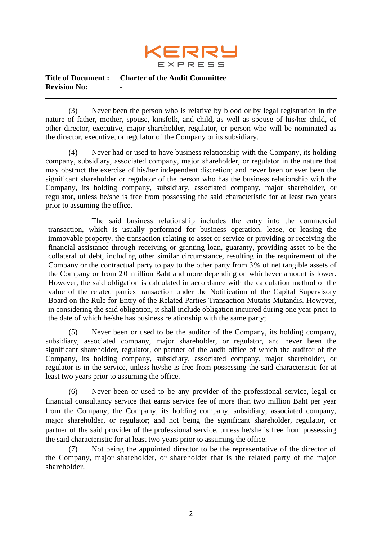

(3) Never been the person who is relative by blood or by legal registration in the nature of father, mother, spouse, kinsfolk, and child, as well as spouse of his/her child, of other director, executive, major shareholder, regulator, or person who will be nominated as the director, executive, or regulator of the Company or its subsidiary.

(4) Never had or used to have business relationship with the Company, its holding company, subsidiary, associated company, major shareholder, or regulator in the nature that may obstruct the exercise of his/her independent discretion; and never been or ever been the significant shareholder or regulator of the person who has the business relationship with the Company, its holding company, subsidiary, associated company, major shareholder, or regulator, unless he/she is free from possessing the said characteristic for at least two years prior to assuming the office.

The said business relationship includes the entry into the commercial transaction, which is usually performed for business operation, lease, or leasing the immovable property, the transaction relating to asset or service or providing or receiving the financial assistance through receiving or granting loan, guaranty, providing asset to be the collateral of debt, including other similar circumstance, resulting in the requirement of the Company or the contractual party to pay to the other party from 3% of net tangible assets of the Company or from 20 million Baht and more depending on whichever amount is lower. However, the said obligation is calculated in accordance with the calculation method of the value of the related parties transaction under the Notification of the Capital Supervisory Board on the Rule for Entry of the Related Parties Transaction Mutatis Mutandis. However, in considering the said obligation, it shall include obligation incurred during one year prior to the date of which he/she has business relationship with the same party;

(5) Never been or used to be the auditor of the Company, its holding company, subsidiary, associated company, major shareholder, or regulator, and never been the significant shareholder, regulator, or partner of the audit office of which the auditor of the Company, its holding company, subsidiary, associated company, major shareholder, or regulator is in the service, unless he/she is free from possessing the said characteristic for at least two years prior to assuming the office.

(6) Never been or used to be any provider of the professional service, legal or financial consultancy service that earns service fee of more than two million Baht per year from the Company, the Company, its holding company, subsidiary, associated company, major shareholder, or regulator; and not being the significant shareholder, regulator, or partner of the said provider of the professional service, unless he/she is free from possessing the said characteristic for at least two years prior to assuming the office.

(7) Not being the appointed director to be the representative of the director of the Company, major shareholder, or shareholder that is the related party of the major shareholder.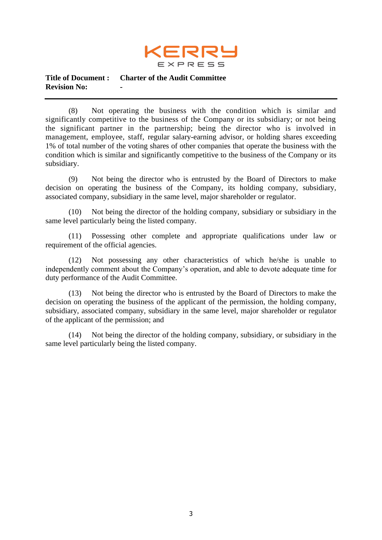

(8) Not operating the business with the condition which is similar and significantly competitive to the business of the Company or its subsidiary; or not being the significant partner in the partnership; being the director who is involved in management, employee, staff, regular salary-earning advisor, or holding shares exceeding 1% of total number of the voting shares of other companies that operate the business with the condition which is similar and significantly competitive to the business of the Company or its subsidiary.

(9) Not being the director who is entrusted by the Board of Directors to make decision on operating the business of the Company, its holding company, subsidiary, associated company, subsidiary in the same level, major shareholder or regulator.

(10) Not being the director of the holding company, subsidiary or subsidiary in the same level particularly being the listed company.

(11) Possessing other complete and appropriate qualifications under law or requirement of the official agencies.

(12) Not possessing any other characteristics of which he/she is unable to independently comment about the Company's operation, and able to devote adequate time for duty performance of the Audit Committee.

(13) Not being the director who is entrusted by the Board of Directors to make the decision on operating the business of the applicant of the permission, the holding company, subsidiary, associated company, subsidiary in the same level, major shareholder or regulator of the applicant of the permission; and

(14) Not being the director of the holding company, subsidiary, or subsidiary in the same level particularly being the listed company.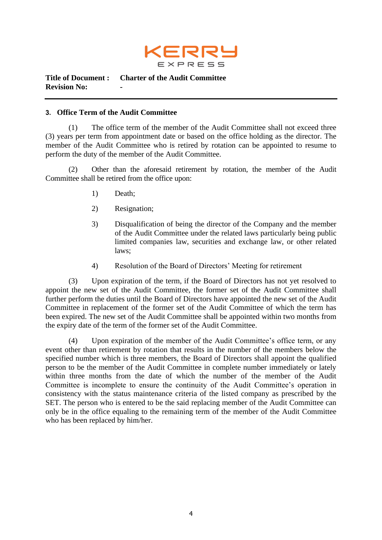

## **3. Office Term of the Audit Committee**

(1) The office term of the member of the Audit Committee shall not exceed three (3) years per term from appointment date or based on the office holding as the director. The member of the Audit Committee who is retired by rotation can be appointed to resume to perform the duty of the member of the Audit Committee.

(2) Other than the aforesaid retirement by rotation, the member of the Audit Committee shall be retired from the office upon:

- 1) Death;
- 2) Resignation;
- 3) Disqualification of being the director of the Company and the member of the Audit Committee under the related laws particularly being public limited companies law, securities and exchange law, or other related laws;
- 4) Resolution of the Board of Directors' Meeting for retirement

(3) Upon expiration of the term, if the Board of Directors has not yet resolved to appoint the new set of the Audit Committee, the former set of the Audit Committee shall further perform the duties until the Board of Directors have appointed the new set of the Audit Committee in replacement of the former set of the Audit Committee of which the term has been expired. The new set of the Audit Committee shall be appointed within two months from the expiry date of the term of the former set of the Audit Committee.

(4) Upon expiration of the member of the Audit Committee's office term, or any event other than retirement by rotation that results in the number of the members below the specified number which is three members, the Board of Directors shall appoint the qualified person to be the member of the Audit Committee in complete number immediately or lately within three months from the date of which the number of the member of the Audit Committee is incomplete to ensure the continuity of the Audit Committee's operation in consistency with the status maintenance criteria of the listed company as prescribed by the SET. The person who is entered to be the said replacing member of the Audit Committee can only be in the office equaling to the remaining term of the member of the Audit Committee who has been replaced by him/her.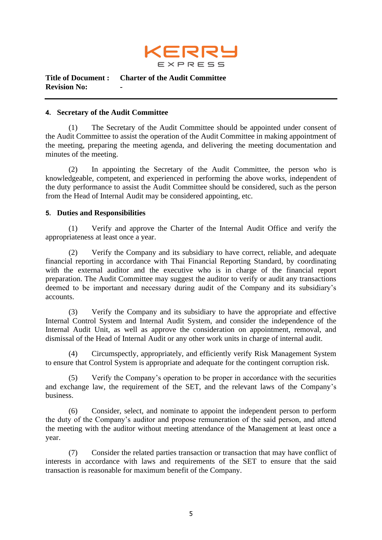

#### **4. Secretary of the Audit Committee**

(1) The Secretary of the Audit Committee should be appointed under consent of the Audit Committee to assist the operation of the Audit Committee in making appointment of the meeting, preparing the meeting agenda, and delivering the meeting documentation and minutes of the meeting.

(2) In appointing the Secretary of the Audit Committee, the person who is knowledgeable, competent, and experienced in performing the above works, independent of the duty performance to assist the Audit Committee should be considered, such as the person from the Head of Internal Audit may be considered appointing, etc.

## **5. Duties and Responsibilities**

(1) Verify and approve the Charter of the Internal Audit Office and verify the appropriateness at least once a year.

(2) Verify the Company and its subsidiary to have correct, reliable, and adequate financial reporting in accordance with Thai Financial Reporting Standard, by coordinating with the external auditor and the executive who is in charge of the financial report preparation. The Audit Committee may suggest the auditor to verify or audit any transactions deemed to be important and necessary during audit of the Company and its subsidiary's accounts.

(3) Verify the Company and its subsidiary to have the appropriate and effective Internal Control System and Internal Audit System, and consider the independence of the Internal Audit Unit, as well as approve the consideration on appointment, removal, and dismissal of the Head of Internal Audit or any other work units in charge of internal audit.

(4) Circumspectly, appropriately, and efficiently verify Risk Management System to ensure that Control System is appropriate and adequate for the contingent corruption risk.

(5) Verify the Company's operation to be proper in accordance with the securities and exchange law, the requirement of the SET, and the relevant laws of the Company's business.

(6) Consider, select, and nominate to appoint the independent person to perform the duty of the Company's auditor and propose remuneration of the said person, and attend the meeting with the auditor without meeting attendance of the Management at least once a year.

(7) Consider the related parties transaction or transaction that may have conflict of interests in accordance with laws and requirements of the SET to ensure that the said transaction is reasonable for maximum benefit of the Company.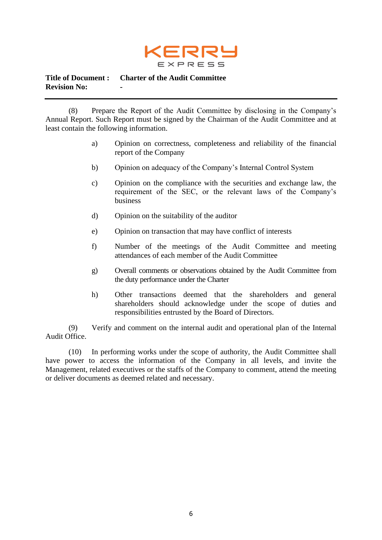

(8) Prepare the Report of the Audit Committee by disclosing in the Company's Annual Report. Such Report must be signed by the Chairman of the Audit Committee and at least contain the following information.

- a) Opinion on correctness, completeness and reliability of the financial report of the Company
- b) Opinion on adequacy of the Company's Internal Control System
- c) Opinion on the compliance with the securities and exchange law, the requirement of the SEC, or the relevant laws of the Company's business
- d) Opinion on the suitability of the auditor
- e) Opinion on transaction that may have conflict of interests
- f) Number of the meetings of the Audit Committee and meeting attendances of each member of the Audit Committee
- g) Overall comments or observations obtained by the Audit Committee from the duty performance under the Charter
- h) Other transactions deemed that the shareholders and general shareholders should acknowledge under the scope of duties and responsibilities entrusted by the Board of Directors.

(9) Verify and comment on the internal audit and operational plan of the Internal Audit Office.

(10) In performing works under the scope of authority, the Audit Committee shall have power to access the information of the Company in all levels, and invite the Management, related executives or the staffs of the Company to comment, attend the meeting or deliver documents as deemed related and necessary.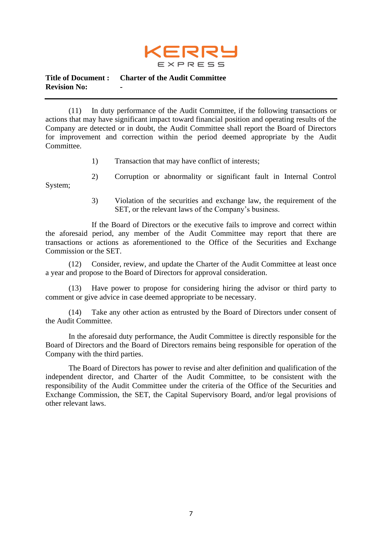

(11) In duty performance of the Audit Committee, if the following transactions or actions that may have significant impact toward financial position and operating results of the Company are detected or in doubt, the Audit Committee shall report the Board of Directors for improvement and correction within the period deemed appropriate by the Audit Committee.

- 1) Transaction that may have conflict of interests;
- 2) Corruption or abnormality or significant fault in Internal Control

System;

3) Violation of the securities and exchange law, the requirement of the SET, or the relevant laws of the Company's business.

If the Board of Directors or the executive fails to improve and correct within the aforesaid period, any member of the Audit Committee may report that there are transactions or actions as aforementioned to the Office of the Securities and Exchange Commission or the SET.

(12) Consider, review, and update the Charter of the Audit Committee at least once a year and propose to the Board of Directors for approval consideration.

(13) Have power to propose for considering hiring the advisor or third party to comment or give advice in case deemed appropriate to be necessary.

(14) Take any other action as entrusted by the Board of Directors under consent of the Audit Committee.

In the aforesaid duty performance, the Audit Committee is directly responsible for the Board of Directors and the Board of Directors remains being responsible for operation of the Company with the third parties.

The Board of Directors has power to revise and alter definition and qualification of the independent director, and Charter of the Audit Committee, to be consistent with the responsibility of the Audit Committee under the criteria of the Office of the Securities and Exchange Commission, the SET, the Capital Supervisory Board, and/or legal provisions of other relevant laws.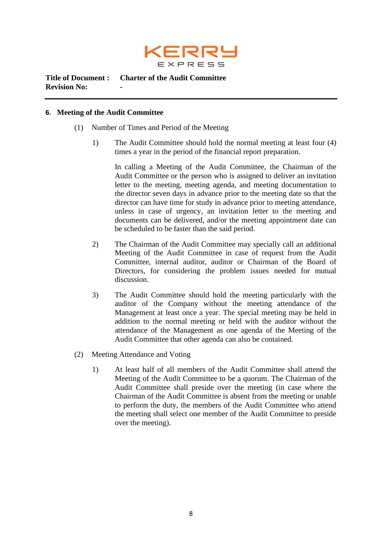

## **6. Meeting of the Audit Committee**

- (1) Number of Times and Period of the Meeting
	- 1) The Audit Committee should hold the normal meeting at least four (4) times a year in the period of the financial report preparation.

In calling a Meeting of the Audit Committee, the Chairman of the Audit Committee or the person who is assigned to deliver an invitation letter to the meeting, meeting agenda, and meeting documentation to the director seven days in advance prior to the meeting date so that the director can have time for study in advance prior to meeting attendance, unless in case of urgency, an invitation letter to the meeting and documents can be delivered, and/or the meeting appointment date can be scheduled to be faster than the said period.

- 2) The Chairman of the Audit Committee may specially call an additional Meeting of the Audit Committee in case of request from the Audit Committee, internal auditor, auditor or Chairman of the Board of Directors, for considering the problem issues needed for mutual discussion.
- 3) The Audit Committee should hold the meeting particularly with the auditor of the Company without the meeting attendance of the Management at least once a year. The special meeting may be held in addition to the normal meeting or held with the auditor without the attendance of the Management as one agenda of the Meeting of the Audit Committee that other agenda can also be contained.
- (2) Meeting Attendance and Voting
	- 1) At least half of all members of the Audit Committee shall attend the Meeting of the Audit Committee to be a quorum. The Chairman of the Audit Committee shall preside over the meeting (in case where the Chairman of the Audit Committee is absent from the meeting or unable to perform the duty, the members of the Audit Committee who attend the meeting shall select one member of the Audit Committee to preside over the meeting).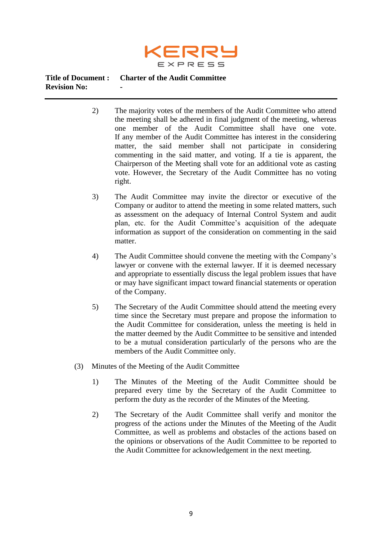

- 2) The majority votes of the members of the Audit Committee who attend the meeting shall be adhered in final judgment of the meeting, whereas one member of the Audit Committee shall have one vote. If any member of the Audit Committee has interest in the considering matter, the said member shall not participate in considering commenting in the said matter, and voting. If a tie is apparent, the Chairperson of the Meeting shall vote for an additional vote as casting vote. However, the Secretary of the Audit Committee has no voting right.
- 3) The Audit Committee may invite the director or executive of the Company or auditor to attend the meeting in some related matters, such as assessment on the adequacy of Internal Control System and audit plan, etc. for the Audit Committee's acquisition of the adequate information as support of the consideration on commenting in the said matter.
- 4) The Audit Committee should convene the meeting with the Company's lawyer or convene with the external lawyer. If it is deemed necessary and appropriate to essentially discuss the legal problem issues that have or may have significant impact toward financial statements or operation of the Company.
- 5) The Secretary of the Audit Committee should attend the meeting every time since the Secretary must prepare and propose the information to the Audit Committee for consideration, unless the meeting is held in the matter deemed by the Audit Committee to be sensitive and intended to be a mutual consideration particularly of the persons who are the members of the Audit Committee only.
- (3) Minutes of the Meeting of the Audit Committee
	- 1) The Minutes of the Meeting of the Audit Committee should be prepared every time by the Secretary of the Audit Committee to perform the duty as the recorder of the Minutes of the Meeting.
	- 2) The Secretary of the Audit Committee shall verify and monitor the progress of the actions under the Minutes of the Meeting of the Audit Committee, as well as problems and obstacles of the actions based on the opinions or observations of the Audit Committee to be reported to the Audit Committee for acknowledgement in the next meeting.